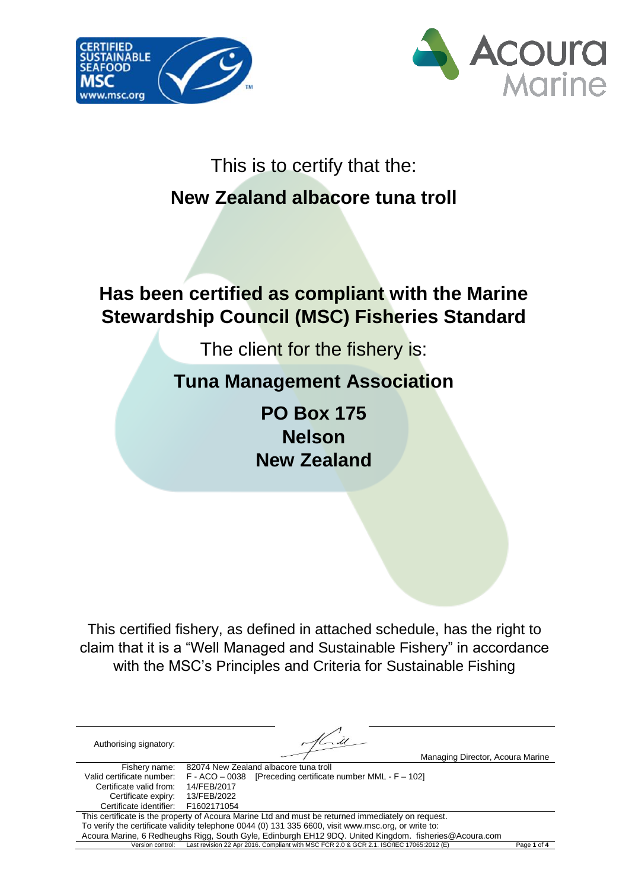



### This is to certify that the:

## **New Zealand albacore tuna troll**

## **Has been certified as compliant with the Marine Stewardship Council (MSC) Fisheries Standard**

The client for the fishery is:

## **Tuna Management Association**

**PO Box 175 Nelson New Zealand**

This certified fishery, as defined in attached schedule, has the right to claim that it is a "Well Managed and Sustainable Fishery" in accordance with the MSC's Principles and Criteria for Sustainable Fishing

| Authorising signatory:                                                                             | Managing Director, Acoura Marine                                                                      |             |  |  |
|----------------------------------------------------------------------------------------------------|-------------------------------------------------------------------------------------------------------|-------------|--|--|
| Fishery name:                                                                                      | 82074 New Zealand albacore tuna troll                                                                 |             |  |  |
| Valid certificate number:                                                                          | $F - ACO - 0038$ [Preceding certificate number MML - $F - 102$ ]                                      |             |  |  |
| Certificate valid from:                                                                            | 14/FEB/2017                                                                                           |             |  |  |
| Certificate expiry:                                                                                | 13/FEB/2022                                                                                           |             |  |  |
| Certificate identifier: F1602171054                                                                |                                                                                                       |             |  |  |
| This certificate is the property of Acoura Marine Ltd and must be returned immediately on request. |                                                                                                       |             |  |  |
|                                                                                                    | To verify the certificate validity telephone 0044 (0) 131 335 6600, visit www.msc.org, or write to:   |             |  |  |
|                                                                                                    | Acoura Marine, 6 Redheughs Rigg, South Gyle, Edinburgh EH12 9DQ. United Kingdom. fisheries@Acoura.com |             |  |  |
| Version control:                                                                                   | Last revision 22 Apr 2016. Compliant with MSC FCR 2.0 & GCR 2.1. ISO/IEC 17065:2012 (E)               | Page 1 of 4 |  |  |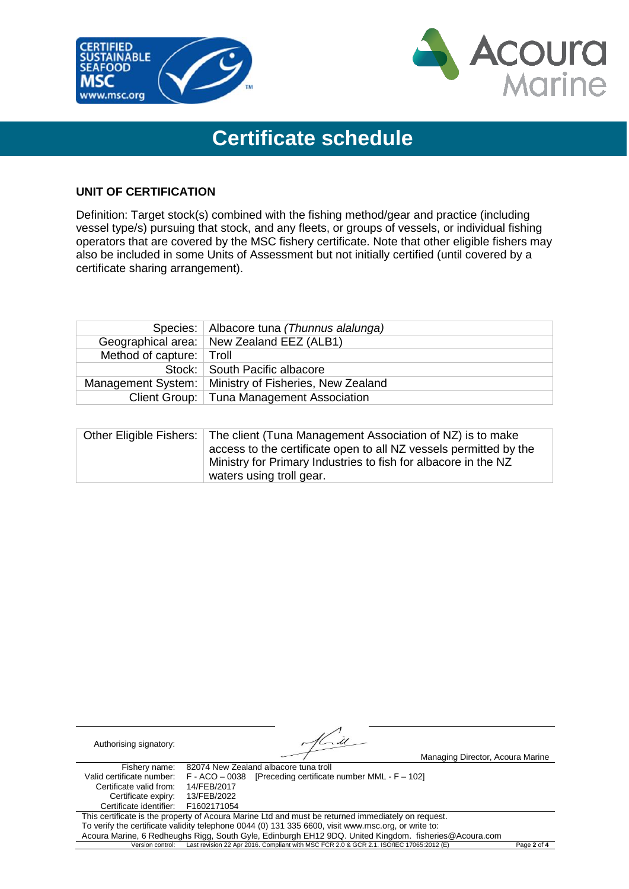



# **Certificate schedule**

### **UNIT OF CERTIFICATION**

Definition: Target stock(s) combined with the fishing method/gear and practice (including vessel type/s) pursuing that stock, and any fleets, or groups of vessels, or individual fishing operators that are covered by the MSC fishery certificate. Note that other eligible fishers may also be included in some Units of Assessment but not initially certified (until covered by a certificate sharing arrangement).

|                          | Species:   Albacore tuna (Thunnus alalunga)             |
|--------------------------|---------------------------------------------------------|
|                          | Geographical area: New Zealand EEZ (ALB1)               |
| Method of capture: Troll |                                                         |
|                          | Stock: South Pacific albacore                           |
|                          | Management System:   Ministry of Fisheries, New Zealand |
|                          | Client Group:   Tuna Management Association             |

| Other Eligible Fishers: The client (Tuna Management Association of NZ) is to make |
|-----------------------------------------------------------------------------------|
| access to the certificate open to all NZ vessels permitted by the                 |
| Ministry for Primary Industries to fish for albacore in the NZ                    |
| waters using troll gear.                                                          |

| Authorising signatory:              |                                                                                                       |             |
|-------------------------------------|-------------------------------------------------------------------------------------------------------|-------------|
|                                     | Managing Director, Acoura Marine                                                                      |             |
| Fishery name:                       | 82074 New Zealand albacore tuna troll                                                                 |             |
| Valid certificate number:           | $F - ACO - 0038$ [Preceding certificate number MML - $F - 102$ ]                                      |             |
| Certificate valid from:             | 14/FEB/2017                                                                                           |             |
| Certificate expiry:                 | 13/FEB/2022                                                                                           |             |
| Certificate identifier: F1602171054 |                                                                                                       |             |
|                                     | This certificate is the property of Acoura Marine Ltd and must be returned immediately on request.    |             |
|                                     | To verify the certificate validity telephone 0044 (0) 131 335 6600, visit www.msc.org, or write to:   |             |
|                                     | Acoura Marine, 6 Redheughs Rigg, South Gyle, Edinburgh EH12 9DQ. United Kingdom. fisheries@Acoura.com |             |
| Version control:                    | Last revision 22 Apr 2016. Compliant with MSC FCR 2.0 & GCR 2.1. ISO/IEC 17065:2012 (E)               | Page 2 of 4 |

 $\mathbb{Z}^n$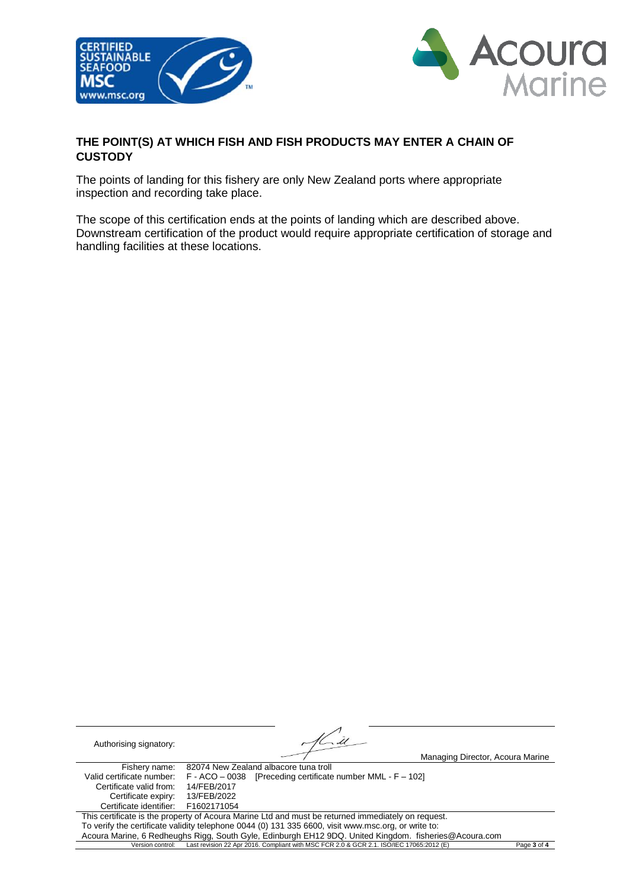



### **THE POINT(S) AT WHICH FISH AND FISH PRODUCTS MAY ENTER A CHAIN OF CUSTODY**

The points of landing for this fishery are only New Zealand ports where appropriate inspection and recording take place.

The scope of this certification ends at the points of landing which are described above. Downstream certification of the product would require appropriate certification of storage and handling facilities at these locations.

 $\tilde{\mathscr{U}}$ Authorising signatory: Managing Director, Acoura Marine Fishery name: 82074 New Zealand albacore tuna troll<br>Valid certificate number: F - ACO - 0038 [Preceding certificate  $F - ACO - 0038$  [Preceding certificate number MML -  $F - 102$ ]<br>14/FEB/2017 Certificate valid from: Certificate expiry: 13/FEB/2022<br>ertificate identifier: F1602171054 Certificate identifier: This certificate is the property of Acoura Marine Ltd and must be returned immediately on request. To verify the certificate validity telephone 0044 (0) 131 335 6600, visit www.msc.org, or write to: Acoura Marine, 6 Redheughs Rigg, South Gyle, Edinburgh EH12 9DQ. United Kingdom. fisheries@Acoura.com<br>Version control: Last revision 22 Apr 2016. Compliant with MSC FCR 2.0 & GCR 2.1. ISO/IEC 17065:2012 (E) Version control: Last revision 22 Apr 2016. Compliant with MSC FCR 2.0 & GCR 2.1. ISO/IEC 17065:2012 (E) Page **3** of **4**